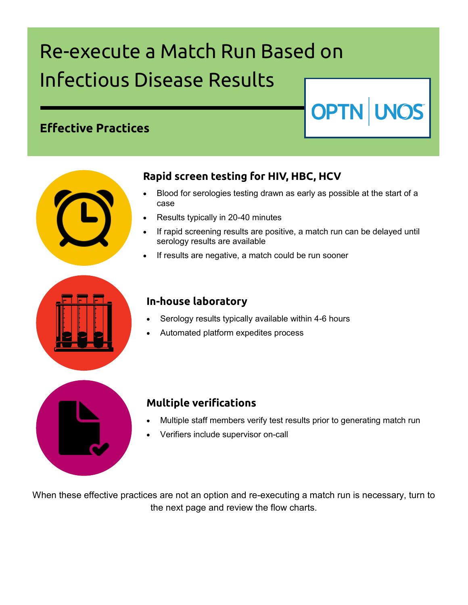# Re-execute a Match Run Based on Infectious Disease Results

## **Effective Practices**



#### **Rapid screen testing for HIV, HBC, HCV**

 Blood for serologies testing drawn as early as possible at the start of a case

**OPTN UNOS** 

- Results typically in 20-40 minutes
- If rapid screening results are positive, a match run can be delayed until serology results are available
- If results are negative, a match could be run sooner



#### **In-house laboratory**

- Serology results typically available within 4-6 hours
- Automated platform expedites process

### **Multiple verifications**

- Multiple staff members verify test results prior to generating match run
- Verifiers include supervisor on-call

When these effective practices are not an option and re-executing a match run is necessary, turn to the next page and review the flow charts.